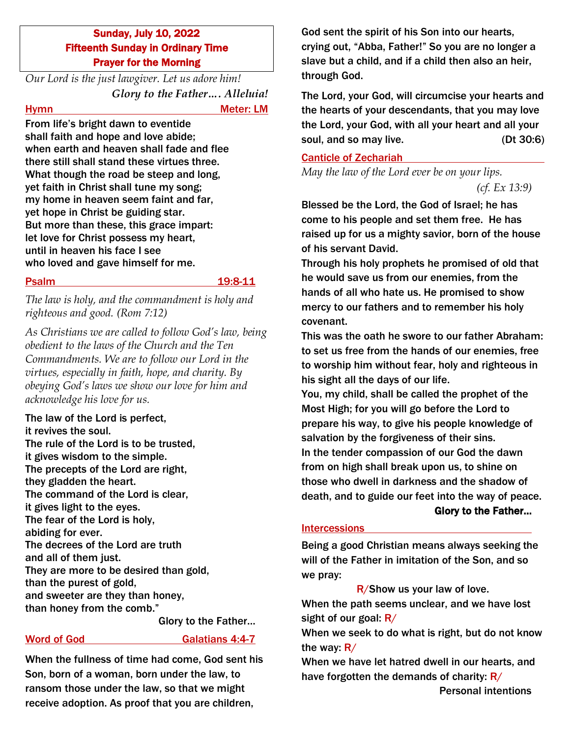# Sunday, July 10, 2022 Fifteenth Sunday in Ordinary Time Prayer for the Morning

*Our Lord is the just lawgiver. Let us adore him! Glory to the Father…. Alleluia!*

Hymn Meter: LM

From life's bright dawn to eventide shall faith and hope and love abide; when earth and heaven shall fade and flee there still shall stand these virtues three. What though the road be steep and long, yet faith in Christ shall tune my song; my home in heaven seem faint and far, yet hope in Christ be guiding star. But more than these, this grace impart: let love for Christ possess my heart, until in heaven his face I see who loved and gave himself for me.

Psalm 19:8-11

*The law is holy, and the commandment is holy and righteous and good. (Rom 7:12)*

*As Christians we are called to follow God's law, being obedient to the laws of the Church and the Ten Commandments. We are to follow our Lord in the virtues, especially in faith, hope, and charity. By obeying God's laws we show our love for him and acknowledge his love for us.*

The law of the Lord is perfect, it revives the soul. The rule of the Lord is to be trusted, it gives wisdom to the simple. The precepts of the Lord are right, they gladden the heart. The command of the Lord is clear, it gives light to the eyes. The fear of the Lord is holy, abiding for ever. The decrees of the Lord are truth and all of them just. They are more to be desired than gold, than the purest of gold, and sweeter are they than honey, than honey from the comb."

Glory to the Father…

# Word of God Galatians 4:4-7

When the fullness of time had come, God sent his Son, born of a woman, born under the law, to ransom those under the law, so that we might receive adoption. As proof that you are children,

God sent the spirit of his Son into our hearts, crying out, "Abba, Father!" So you are no longer a slave but a child, and if a child then also an heir, through God.

The Lord, your God, will circumcise your hearts and the hearts of your descendants, that you may love the Lord, your God, with all your heart and all your soul, and so may live. (Dt 30:6)

### Canticle of Zechariah

*May the law of the Lord ever be on your lips.* 

*(cf. Ex 13:9)*

Blessed be the Lord, the God of Israel; he has come to his people and set them free. He has raised up for us a mighty savior, born of the house of his servant David.

Through his holy prophets he promised of old that he would save us from our enemies, from the hands of all who hate us. He promised to show mercy to our fathers and to remember his holy covenant.

This was the oath he swore to our father Abraham: to set us free from the hands of our enemies, free to worship him without fear, holy and righteous in his sight all the days of our life.

You, my child, shall be called the prophet of the Most High; for you will go before the Lord to prepare his way, to give his people knowledge of salvation by the forgiveness of their sins. In the tender compassion of our God the dawn from on high shall break upon us, to shine on those who dwell in darkness and the shadow of death, and to guide our feet into the way of peace.

### Glory to the Father…

# Intercessions

Being a good Christian means always seeking the will of the Father in imitation of the Son, and so we pray:

R/Show us your law of love. When the path seems unclear, and we have lost sight of our goal:  $R/$ 

When we seek to do what is right, but do not know the way:  $R/$ 

When we have let hatred dwell in our hearts, and have forgotten the demands of charity:  $R/$ 

Personal intentions